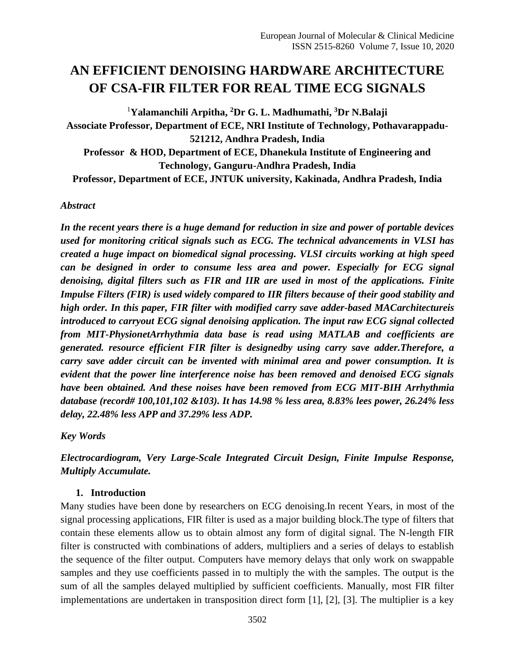# **AN EFFICIENT DENOISING HARDWARE ARCHITECTURE OF CSA-FIR FILTER FOR REAL TIME ECG SIGNALS**

<sup>1</sup>**Yalamanchili Arpitha, <sup>2</sup>Dr G. L. Madhumathi, <sup>3</sup>Dr N.Balaji Associate Professor, Department of ECE, NRI Institute of Technology, Pothavarappadu-521212, Andhra Pradesh, India Professor & HOD, Department of ECE, Dhanekula Institute of Engineering and Technology, Ganguru-Andhra Pradesh, India Professor, Department of ECE, JNTUK university, Kakinada, Andhra Pradesh, India**

### *Abstract*

*In the recent years there is a huge demand for reduction in size and power of portable devices used for monitoring critical signals such as ECG. The technical advancements in VLSI has created a huge impact on biomedical signal processing. VLSI circuits working at high speed can be designed in order to consume less area and power. Especially for ECG signal denoising, digital filters such as FIR and IIR are used in most of the applications. Finite Impulse Filters (FIR) is used widely compared to IIR filters because of their good stability and high order. In this paper, FIR filter with modified carry save adder-based MACarchitectureis introduced to carryout ECG signal denoising application. The input raw ECG signal collected from MIT-PhysionetArrhythmia data base is read using MATLAB and coefficients are generated. resource efficient FIR filter is designedby using carry save adder.Therefore, a carry save adder circuit can be invented with minimal area and power consumption. It is evident that the power line interference noise has been removed and denoised ECG signals have been obtained. And these noises have been removed from ECG MIT-BIH Arrhythmia database (record# 100,101,102 &103). It has 14.98 % less area, 8.83% lees power, 26.24% less delay, 22.48% less APP and 37.29% less ADP.*

*Key Words*

*Electrocardiogram, Very Large-Scale Integrated Circuit Design, Finite Impulse Response, Multiply Accumulate.*

#### **1. Introduction**

Many studies have been done by researchers on ECG denoising.In recent Years, in most of the signal processing applications, FIR filter is used as a major building block.The type of filters that contain these elements allow us to obtain almost any form of digital signal. The N-length FIR filter is constructed with combinations of adders, multipliers and a series of delays to establish the sequence of the filter output. Computers have memory delays that only work on swappable samples and they use coefficients passed in to multiply the with the samples. The output is the sum of all the samples delayed multiplied by sufficient coefficients. Manually, most FIR filter implementations are undertaken in transposition direct form [1], [2], [3]. The multiplier is a key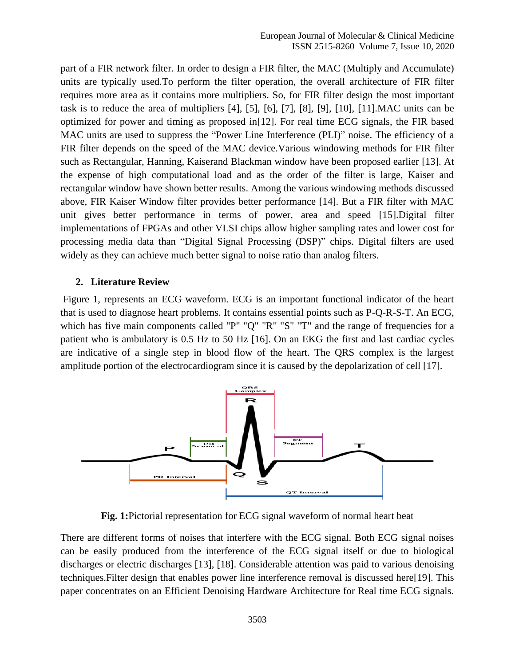part of a FIR network filter. In order to design a FIR filter, the MAC (Multiply and Accumulate) units are typically used.To perform the filter operation, the overall architecture of FIR filter requires more area as it contains more multipliers. So, for FIR filter design the most important task is to reduce the area of multipliers [4], [5], [6], [7], [8], [9], [10], [11].MAC units can be optimized for power and timing as proposed in[12]. For real time ECG signals, the FIR based MAC units are used to suppress the "Power Line Interference (PLI)" noise. The efficiency of a FIR filter depends on the speed of the MAC device.Various windowing methods for FIR filter such as Rectangular, Hanning, Kaiserand Blackman window have been proposed earlier [13]. At the expense of high computational load and as the order of the filter is large, Kaiser and rectangular window have shown better results. Among the various windowing methods discussed above, FIR Kaiser Window filter provides better performance [14]. But a FIR filter with MAC unit gives better performance in terms of power, area and speed [15].Digital filter implementations of FPGAs and other VLSI chips allow higher sampling rates and lower cost for processing media data than "Digital Signal Processing (DSP)" chips. Digital filters are used widely as they can achieve much better signal to noise ratio than analog filters.

# **2. Literature Review**

Figure 1, represents an ECG waveform. ECG is an important functional indicator of the heart that is used to diagnose heart problems. It contains essential points such as P-Q-R-S-T. An ECG, which has five main components called "P" "Q" "R" "S" "T" and the range of frequencies for a patient who is ambulatory is 0.5 Hz to 50 Hz [16]. On an EKG the first and last cardiac cycles are indicative of a single step in blood flow of the heart. The QRS complex is the largest amplitude portion of the electrocardiogram since it is caused by the depolarization of cell [17].



**Fig. 1:**Pictorial representation for ECG signal waveform of normal heart beat

There are different forms of noises that interfere with the ECG signal. Both ECG signal noises can be easily produced from the interference of the ECG signal itself or due to biological discharges or electric discharges [13], [18]. Considerable attention was paid to various denoising techniques.Filter design that enables power line interference removal is discussed here[19]. This paper concentrates on an Efficient Denoising Hardware Architecture for Real time ECG signals.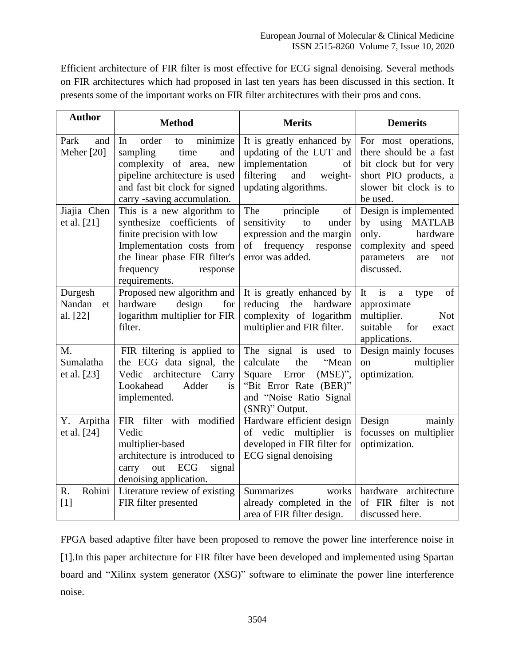Efficient architecture of FIR filter is most effective for ECG signal denoising. Several methods on FIR architectures which had proposed in last ten years has been discussed in this section. It presents some of the important works on FIR filter architectures with their pros and cons.

| <b>Author</b>                       | <b>Method</b>                                                                                                                                                                                 | <b>Merits</b>                                                                                                                                           | <b>Demerits</b>                                                                                                                         |  |
|-------------------------------------|-----------------------------------------------------------------------------------------------------------------------------------------------------------------------------------------------|---------------------------------------------------------------------------------------------------------------------------------------------------------|-----------------------------------------------------------------------------------------------------------------------------------------|--|
| Park<br>and<br>Meher [20]           | order<br>minimize<br>In<br>to<br>sampling<br>time<br>and<br>complexity of area, new<br>pipeline architecture is used<br>and fast bit clock for signed<br>carry -saving accumulation.          | It is greatly enhanced by<br>updating of the LUT and<br>implementation<br>of<br>filtering<br>and<br>weight-<br>updating algorithms.                     | For most operations,<br>there should be a fast<br>bit clock but for very<br>short PIO products, a<br>slower bit clock is to<br>be used. |  |
| Jiajia Chen<br>et al. [21]          | This is a new algorithm to<br>synthesize coefficients of<br>finite precision with low<br>Implementation costs from<br>the linear phase FIR filter's<br>frequency<br>response<br>requirements. | The principle<br>of<br>sensitivity<br>to<br>under<br>expression and the margin<br>frequency response<br>of<br>error was added.                          | Design is implemented<br>by using MATLAB<br>only.<br>hardware<br>complexity and speed<br>parameters<br>are<br>not<br>discussed.         |  |
| Durgesh<br>Nandan<br>et<br>al. [22] | Proposed new algorithm and<br>hardware<br>design<br>for<br>logarithm multiplier for FIR<br>filter.                                                                                            | It is greatly enhanced by<br>reducing<br>the<br>hardware<br>complexity of logarithm<br>multiplier and FIR filter.                                       | of<br>It<br><i>is</i><br>$\rm{a}$<br>type<br>approximate<br>multiplier.<br><b>Not</b><br>suitable<br>for<br>exact<br>applications.      |  |
| M.<br>Sumalatha<br>et al. [23]      | FIR filtering is applied to<br>the ECG data signal, the<br>Vedic architecture<br>Carry<br>Lookahead<br>Adder<br>is<br>implemented.                                                            | The signal is used to<br>calculate<br>the<br>"Mean<br>Square Error<br>$(MSE)$ ",<br>"Bit Error Rate (BER)"<br>and "Noise Ratio Signal<br>(SNR)" Output. | Design mainly focuses<br>multiplier<br>on<br>optimization.                                                                              |  |
| Y. Arpitha<br>et al. [24]           | FIR filter with modified<br>Vedic<br>multiplier-based<br>architecture is introduced to<br>out ECG<br>signal<br>carry<br>denoising application.                                                | Hardware efficient design<br>of vedic multiplier is<br>developed in FIR filter for<br>ECG signal denoising                                              | Design<br>mainly<br>focusses on multiplier<br>optimization.                                                                             |  |
| Rohini<br>R.<br>$[1]$               | Literature review of existing<br>FIR filter presented                                                                                                                                         | <b>Summarizes</b><br>works<br>already completed in the<br>area of FIR filter design.                                                                    | hardware architecture<br>of FIR filter is not<br>discussed here.                                                                        |  |

FPGA based adaptive filter have been proposed to remove the power line interference noise in [1].In this paper architecture for FIR filter have been developed and implemented using Spartan board and "Xilinx system generator (XSG)" software to eliminate the power line interference noise.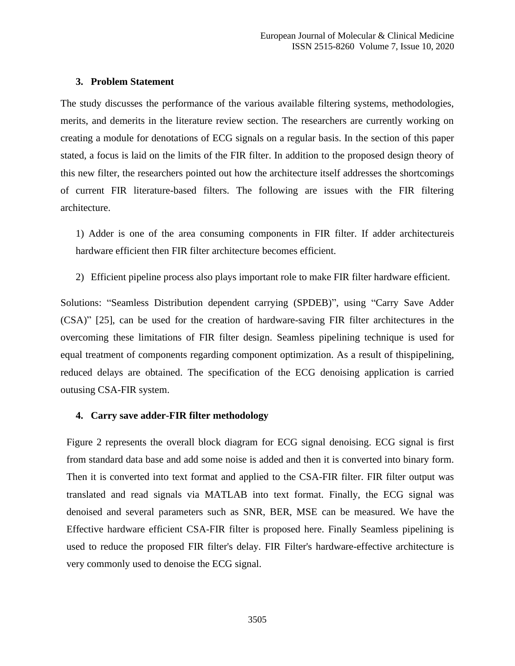#### **3. Problem Statement**

The study discusses the performance of the various available filtering systems, methodologies, merits, and demerits in the literature review section. The researchers are currently working on creating a module for denotations of ECG signals on a regular basis. In the section of this paper stated, a focus is laid on the limits of the FIR filter. In addition to the proposed design theory of this new filter, the researchers pointed out how the architecture itself addresses the shortcomings of current FIR literature-based filters. The following are issues with the FIR filtering architecture.

1) Adder is one of the area consuming components in FIR filter. If adder architectureis hardware efficient then FIR filter architecture becomes efficient.

2) Efficient pipeline process also plays important role to make FIR filter hardware efficient.

Solutions: "Seamless Distribution dependent carrying (SPDEB)", using "Carry Save Adder (CSA)" [25], can be used for the creation of hardware-saving FIR filter architectures in the overcoming these limitations of FIR filter design. Seamless pipelining technique is used for equal treatment of components regarding component optimization. As a result of thispipelining, reduced delays are obtained. The specification of the ECG denoising application is carried outusing CSA-FIR system.

#### **4. Carry save adder-FIR filter methodology**

Figure 2 represents the overall block diagram for ECG signal denoising. ECG signal is first from standard data base and add some noise is added and then it is converted into binary form. Then it is converted into text format and applied to the CSA-FIR filter. FIR filter output was translated and read signals via MATLAB into text format. Finally, the ECG signal was denoised and several parameters such as SNR, BER, MSE can be measured. We have the Effective hardware efficient CSA-FIR filter is proposed here. Finally Seamless pipelining is used to reduce the proposed FIR filter's delay. FIR Filter's hardware-effective architecture is very commonly used to denoise the ECG signal.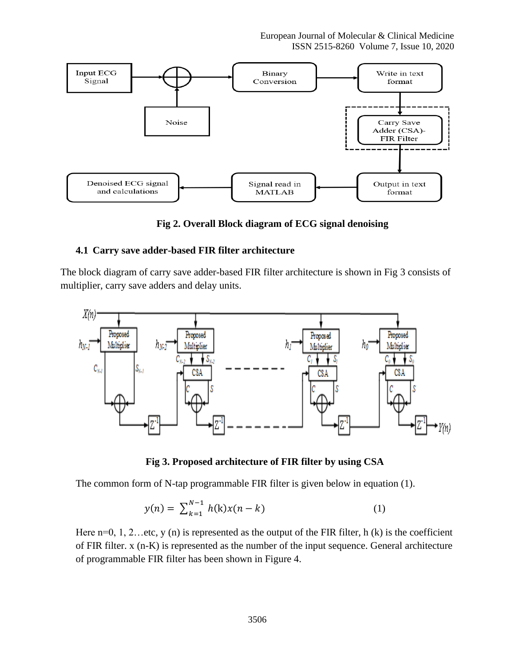European Journal of Molecular & Clinical Medicine ISSN 2515-8260 Volume 7, Issue 10, 2020



**Fig 2. Overall Block diagram of ECG signal denoising**

## **4.1 Carry save adder-based FIR filter architecture**

The block diagram of carry save adder-based FIR filter architecture is shown in Fig 3 consists of multiplier, carry save adders and delay units.



**Fig 3. Proposed architecture of FIR filter by using CSA**

The common form of N-tap programmable FIR filter is given below in equation (1).

$$
y(n) = \sum_{k=1}^{N-1} h(k)x(n-k)
$$
 (1)

Here  $n=0, 1, 2...$  etc, y (n) is represented as the output of the FIR filter, h (k) is the coefficient of FIR filter. x (n-K) is represented as the number of the input sequence. General architecture of programmable FIR filter has been shown in Figure 4.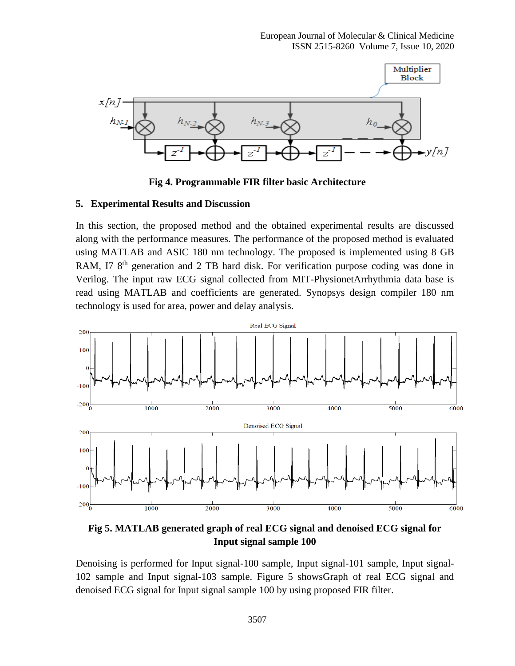

**Fig 4. Programmable FIR filter basic Architecture**

#### **5. Experimental Results and Discussion**

In this section, the proposed method and the obtained experimental results are discussed along with the performance measures. The performance of the proposed method is evaluated using MATLAB and ASIC 180 nm technology. The proposed is implemented using 8 GB RAM, I7 8<sup>th</sup> generation and 2 TB hard disk. For verification purpose coding was done in Verilog. The input raw ECG signal collected from MIT-PhysionetArrhythmia data base is read using MATLAB and coefficients are generated. Synopsys design compiler 180 nm technology is used for area, power and delay analysis.



**Fig 5. MATLAB generated graph of real ECG signal and denoised ECG signal for Input signal sample 100**

Denoising is performed for Input signal-100 sample, Input signal-101 sample, Input signal-102 sample and Input signal-103 sample. Figure 5 showsGraph of real ECG signal and denoised ECG signal for Input signal sample 100 by using proposed FIR filter.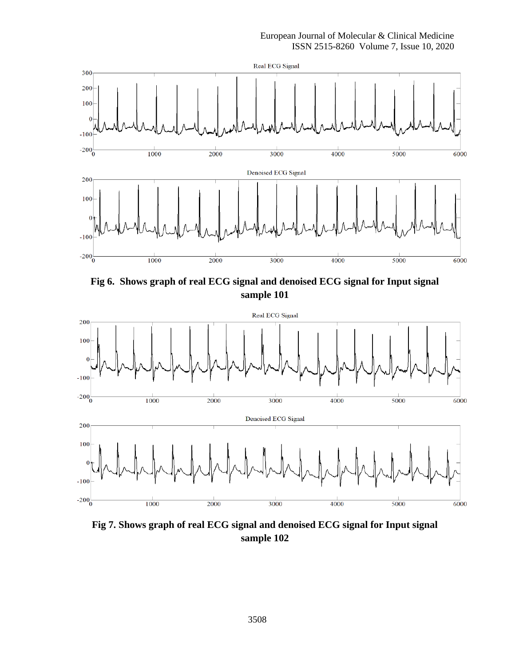

**Fig 6. Shows graph of real ECG signal and denoised ECG signal for Input signal sample 101**



**Fig 7. Shows graph of real ECG signal and denoised ECG signal for Input signal sample 102**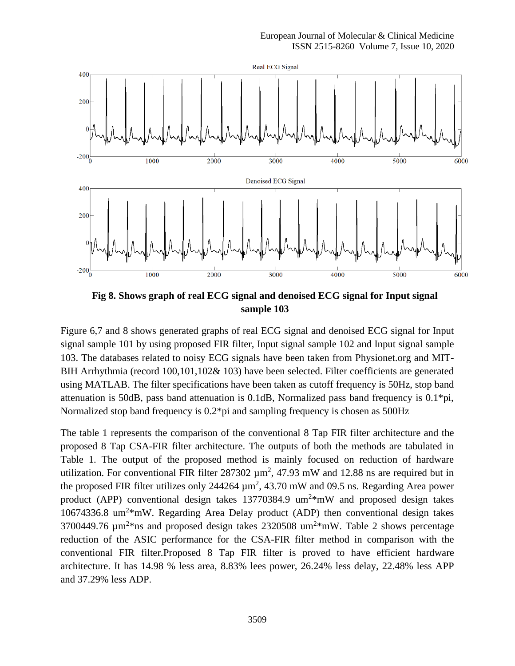

**Fig 8. Shows graph of real ECG signal and denoised ECG signal for Input signal sample 103**

Figure 6,7 and 8 shows generated graphs of real ECG signal and denoised ECG signal for Input signal sample 101 by using proposed FIR filter, Input signal sample 102 and Input signal sample 103. The databases related to noisy ECG signals have been taken from Physionet.org and MIT-BIH Arrhythmia (record 100,101,102& 103) have been selected. Filter coefficients are generated using MATLAB. The filter specifications have been taken as cutoff frequency is 50Hz, stop band attenuation is 50dB, pass band attenuation is 0.1dB, Normalized pass band frequency is 0.1\*pi, Normalized stop band frequency is 0.2\*pi and sampling frequency is chosen as 500Hz

The table 1 represents the comparison of the conventional 8 Tap FIR filter architecture and the proposed 8 Tap CSA-FIR filter architecture. The outputs of both the methods are tabulated in Table 1. The output of the proposed method is mainly focused on reduction of hardware utilization. For conventional FIR filter  $287302 \mu m^2$ , 47.93 mW and 12.88 ns are required but in the proposed FIR filter utilizes only 244264  $\mu$ m<sup>2</sup>, 43.70 mW and 09.5 ns. Regarding Area power product (APP) conventional design takes  $13770384.9 \text{ um}^{2*} \text{mW}$  and proposed design takes 10674336.8 um<sup>2\*</sup>mW. Regarding Area Delay product (ADP) then conventional design takes 3700449.76  $\mu$ m<sup>2\*</sup>ns and proposed design takes 2320508 um<sup>2\*</sup>mW. Table 2 shows percentage reduction of the ASIC performance for the CSA-FIR filter method in comparison with the conventional FIR filter.Proposed 8 Tap FIR filter is proved to have efficient hardware architecture. It has 14.98 % less area, 8.83% lees power, 26.24% less delay, 22.48% less APP and 37.29% less ADP.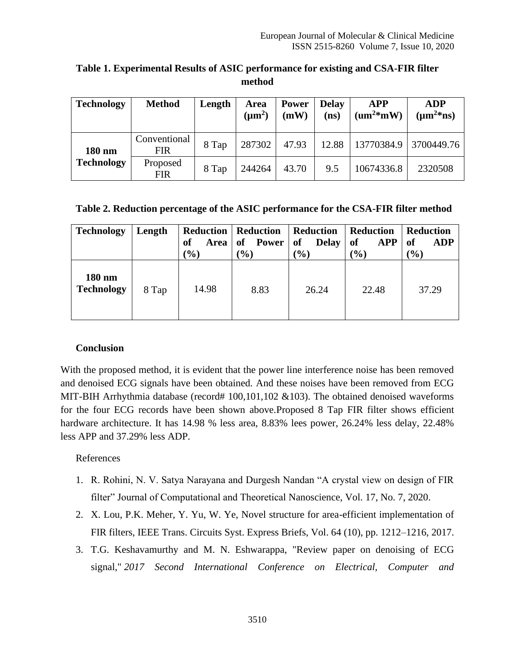| <b>Technology</b>           | <b>Method</b>       | Length | Area<br>$(\mu m^2)$ | <b>Power</b><br>(mW) | <b>Delay</b><br>(ns) | <b>APP</b><br>$\left( \text{um}^{2*} \text{m} \text{W} \right)$ | <b>ADP</b><br>$(\mu m^{2*}ns)$ |
|-----------------------------|---------------------|--------|---------------------|----------------------|----------------------|-----------------------------------------------------------------|--------------------------------|
| 180 nm<br><b>Technology</b> | Conventional<br>FIR | 8 Tap  | 287302              | 47.93                | 12.88                | 13770384.9                                                      | 3700449.76                     |
|                             | Proposed<br>FIR     | 8 Tap  | 244264              | 43.70                | 9.5                  | 10674336.8                                                      | 2320508                        |

**Table 1. Experimental Results of ASIC performance for existing and CSA-FIR filter method**

|  |  | Table 2. Reduction percentage of the ASIC performance for the CSA-FIR filter method |  |  |
|--|--|-------------------------------------------------------------------------------------|--|--|
|  |  |                                                                                     |  |  |

| <b>Technology</b>           | Length | of<br>Area  <br>$\mathcal{O}(6)$ | <b>Reduction   Reduction</b><br>of Power<br>$\mathcal{O}(6)$ | Reduction<br>of<br><b>Delay</b><br>$\frac{1}{2}$ | Reduction<br><b>of</b><br><b>APP</b><br>$\frac{1}{2}$ | <b>Reduction</b><br><b>of</b><br><b>ADP</b><br>$(\%)$ |
|-----------------------------|--------|----------------------------------|--------------------------------------------------------------|--------------------------------------------------|-------------------------------------------------------|-------------------------------------------------------|
| 180 nm<br><b>Technology</b> | 8 Tap  | 14.98                            | 8.83                                                         | 26.24                                            | 22.48                                                 | 37.29                                                 |

# **Conclusion**

With the proposed method, it is evident that the power line interference noise has been removed and denoised ECG signals have been obtained. And these noises have been removed from ECG MIT-BIH Arrhythmia database (record#  $100,101,102 \& 103$ ). The obtained denoised waveforms for the four ECG records have been shown above.Proposed 8 Tap FIR filter shows efficient hardware architecture. It has 14.98 % less area, 8.83% lees power, 26.24% less delay, 22.48% less APP and 37.29% less ADP.

# References

- 1. R. Rohini, N. V. Satya Narayana and Durgesh Nandan "A crystal view on design of FIR filter" Journal of Computational and Theoretical Nanoscience, Vol. 17, No. 7, 2020.
- 2. X. Lou, P.K. Meher, Y. Yu, W. Ye, Novel structure for area-efficient implementation of FIR filters, IEEE Trans. Circuits Syst. Express Briefs, Vol. 64 (10), pp. 1212–1216, 2017.
- 3. T.G. Keshavamurthy and M. N. Eshwarappa, "Review paper on denoising of ECG signal," *2017 Second International Conference on Electrical, Computer and*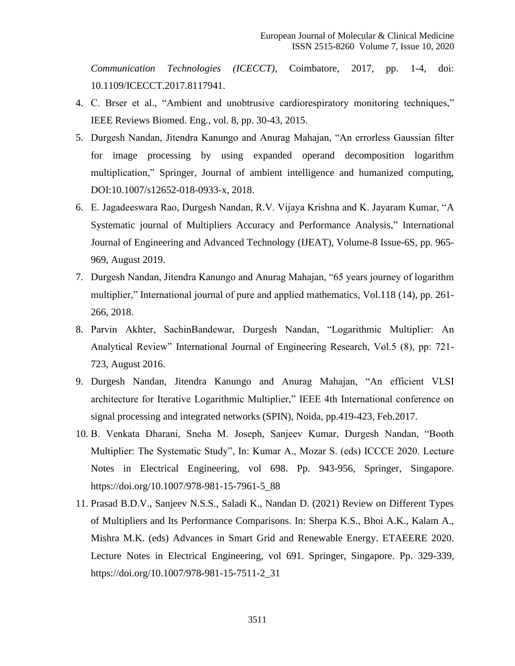*Communication Technologies (ICECCT)*, Coimbatore, 2017, pp. 1-4, doi: 10.1109/ICECCT.2017.8117941.

- 4. C. Brser et al., "Ambient and unobtrusive cardiorespiratory monitoring techniques," IEEE Reviews Biomed. Eng., vol. 8, pp. 30-43, 2015.
- 5. Durgesh Nandan, Jitendra Kanungo and Anurag Mahajan, "An errorless Gaussian filter for image processing by using expanded operand decomposition logarithm multiplication," Springer, Journal of ambient intelligence and humanized computing, DOI:10.1007/s12652-018-0933-x, 2018.
- 6. E. Jagadeeswara Rao, Durgesh Nandan, R.V. Vijaya Krishna and K. Jayaram Kumar, "A Systematic journal of Multipliers Accuracy and Performance Analysis," International Journal of Engineering and Advanced Technology (IJEAT), Volume-8 Issue-6S, pp. 965- 969, August 2019.
- 7. Durgesh Nandan, Jitendra Kanungo and Anurag Mahajan, "65 years journey of logarithm multiplier," International journal of pure and applied mathematics, Vol.118 (14), pp. 261- 266, 2018.
- 8. Parvin Akhter, SachinBandewar, Durgesh Nandan, "Logarithmic Multiplier: An Analytical Review" International Journal of Engineering Research, Vol.5 (8), pp: 721- 723, August 2016.
- 9. Durgesh Nandan, Jitendra Kanungo and Anurag Mahajan, "An efficient VLSI architecture for Iterative Logarithmic Multiplier," IEEE 4th International conference on signal processing and integrated networks (SPIN), Noida, pp.419-423, Feb.2017.
- 10. B. Venkata Dharani, Sneha M. Joseph, Sanjeev Kumar, Durgesh Nandan, "Booth Multiplier: The Systematic Study", In: Kumar A., Mozar S. (eds) ICCCE 2020. Lecture Notes in Electrical Engineering, vol 698. Pp. 943-956, Springer, Singapore. https://doi.org/10.1007/978-981-15-7961-5\_88
- 11. Prasad B.D.V., Sanjeev N.S.S., Saladi K., Nandan D. (2021) Review on Different Types of Multipliers and Its Performance Comparisons. In: Sherpa K.S., Bhoi A.K., Kalam A., Mishra M.K. (eds) Advances in Smart Grid and Renewable Energy. ETAEERE 2020. Lecture Notes in Electrical Engineering, vol 691. Springer, Singapore. Pp. 329-339, https://doi.org/10.1007/978-981-15-7511-2\_31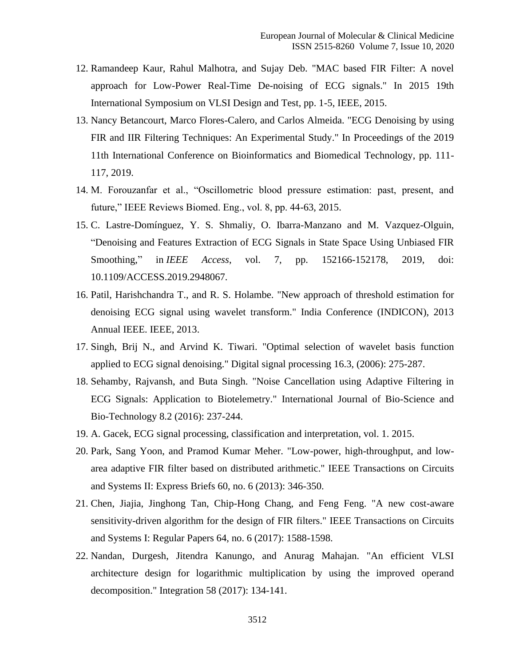- 12. Ramandeep Kaur, Rahul Malhotra, and Sujay Deb. "MAC based FIR Filter: A novel approach for Low-Power Real-Time De-noising of ECG signals." In 2015 19th International Symposium on VLSI Design and Test, pp. 1-5, IEEE, 2015.
- 13. Nancy Betancourt, Marco Flores-Calero, and Carlos Almeida. "ECG Denoising by using FIR and IIR Filtering Techniques: An Experimental Study." In Proceedings of the 2019 11th International Conference on Bioinformatics and Biomedical Technology, pp. 111- 117, 2019.
- 14. M. Forouzanfar et al., "Oscillometric blood pressure estimation: past, present, and future," IEEE Reviews Biomed. Eng., vol. 8, pp. 44-63, 2015.
- 15. C. Lastre-Domínguez, Y. S. Shmaliy, O. Ibarra-Manzano and M. Vazquez-Olguin, "Denoising and Features Extraction of ECG Signals in State Space Using Unbiased FIR Smoothing," in *IEEE Access*, vol. 7, pp. 152166-152178, 2019, doi: 10.1109/ACCESS.2019.2948067.
- 16. Patil, Harishchandra T., and R. S. Holambe. "New approach of threshold estimation for denoising ECG signal using wavelet transform." India Conference (INDICON), 2013 Annual IEEE. IEEE, 2013.
- 17. Singh, Brij N., and Arvind K. Tiwari. "Optimal selection of wavelet basis function applied to ECG signal denoising." Digital signal processing 16.3, (2006): 275-287.
- 18. Sehamby, Rajvansh, and Buta Singh. "Noise Cancellation using Adaptive Filtering in ECG Signals: Application to Biotelemetry." International Journal of Bio-Science and Bio-Technology 8.2 (2016): 237-244.
- 19. A. Gacek, ECG signal processing, classification and interpretation, vol. 1. 2015.
- 20. Park, Sang Yoon, and Pramod Kumar Meher. "Low-power, high-throughput, and lowarea adaptive FIR filter based on distributed arithmetic." IEEE Transactions on Circuits and Systems II: Express Briefs 60, no. 6 (2013): 346-350.
- 21. Chen, Jiajia, Jinghong Tan, Chip-Hong Chang, and Feng Feng. "A new cost-aware sensitivity-driven algorithm for the design of FIR filters." IEEE Transactions on Circuits and Systems I: Regular Papers 64, no. 6 (2017): 1588-1598.
- 22. Nandan, Durgesh, Jitendra Kanungo, and Anurag Mahajan. "An efficient VLSI architecture design for logarithmic multiplication by using the improved operand decomposition." Integration 58 (2017): 134-141.